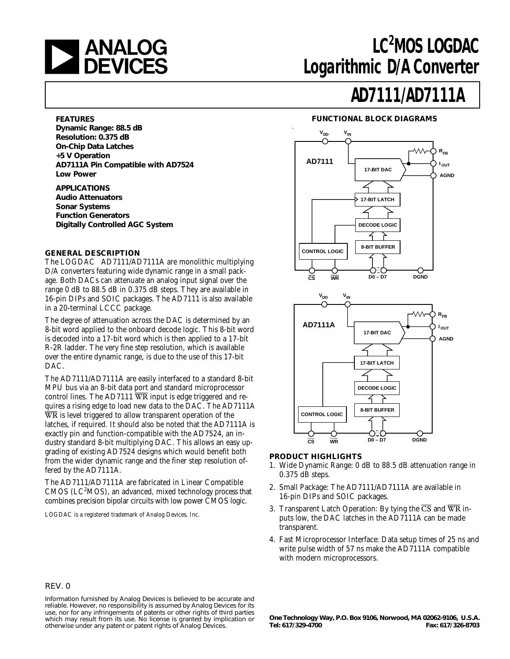

## LC<sup>2</sup>MOS LOGDAC **Logarithmic D/A Converter**

## **AD7111/AD7111A**

#### **FUNCTIONAL BLOCK DIAGRAMS**



#### **PRODUCT HIGHLIGHTS**

- 1. Wide Dynamic Range: 0 dB to 88.5 dB attenuation range in 0.375 dB steps.
- 2. Small Package: The AD7111/AD7111A are available in 16-pin DIPs and SOIC packages.
- 3. Transparent Latch Operation: By tying the  $\overline{CS}$  and  $\overline{WR}$  inputs low, the DAC latches in the AD7111A can be made transparent.
- 4. Fast Microprocessor Interface: Data setup times of 25 ns and write pulse width of 57 ns make the AD7111A compatible with modern microprocessors.

#### **FEATURES**

**Dynamic Range: 88.5 dB Resolution: 0.375 dB On-Chip Data Latches +5 V Operation AD7111A Pin Compatible with AD7524 Low Power**

**APPLICATIONS Audio Attenuators Sonar Systems Function Generators Digitally Controlled AGC System**

#### **GENERAL DESCRIPTION**

The LOGDAC® AD7111/AD7111A are monolithic multiplying D/A converters featuring wide dynamic range in a small package. Both DACs can attenuate an analog input signal over the range 0 dB to 88.5 dB in 0.375 dB steps. They are available in 16-pin DIPs and SOIC packages. The AD7111 is also available in a 20-terminal LCCC package.

The degree of attenuation across the DAC is determined by an 8-bit word applied to the onboard decode logic. This 8-bit word is decoded into a 17-bit word which is then applied to a 17-bit R-2R ladder. The very fine step resolution, which is available over the entire dynamic range, is due to the use of this 17-bit DAC.

The AD7111/AD7111A are easily interfaced to a standard 8-bit MPU bus via an 8-bit data port and standard microprocessor control lines. The AD7111  $\overline{WR}$  input is edge triggered and requires a rising edge to load new data to the DAC. The AD7111A  $\overline{WR}$  is level triggered to allow transparent operation of the latches, if required. It should also be noted that the AD7111A is exactly pin and function-compatible with the AD7524, an industry standard 8-bit multiplying DAC. This allows an easy upgrading of existing AD7524 designs which would benefit both from the wider dynamic range and the finer step resolution offered by the AD7111A.

The AD7111/AD7111A are fabricated in Linear Compatible  $CMOS$  ( $LC<sup>2</sup>MOS$ ), an advanced, mixed technology process that combines precision bipolar circuits with low power CMOS logic.

LOGDAC is a registered trademark of Analog Devices, Inc.

#### REV. 0

Information furnished by Analog Devices is believed to be accurate and reliable. However, no responsibility is assumed by Analog Devices for its use, nor for any infringements of patents or other rights of third parties which may result from its use. No license is granted by implication or otherwise under any patent or patent rights of Analog Devices.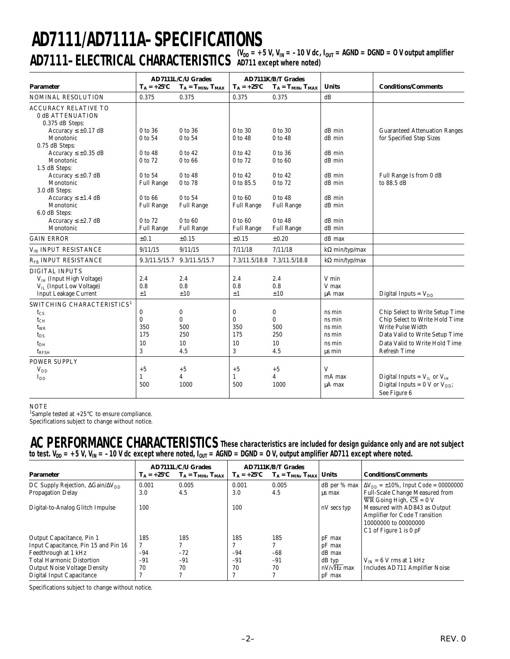## $\mathsf{AD7111-ELECTRICAL CHARACTERISTICS \$ {N\_{DD}}= +5 \text{ V, V\_{IN}}=-10 \text{ V dc, I\_{OUT}}= \text{AGND} = \text{DGND} = \text{O V output amplifier}} **AD7111/AD7111A–SPECIFICATIONS AD711 except where noted)**

| <b>Parameter</b>                                                                                                        | $T_A = +25$ °C                                | <b>AD7111L/C/U Grades</b><br>$T_A = T_{MIN}, T_{MAX}$ | $T_A = +25$ °C                                | <b>AD7111K/B/T Grades</b><br>$T_A = T_{MIN}, T_{MAX}$ | <b>Units</b>                                             | <b>Conditions/Comments</b>                                                                                                                                                       |  |
|-------------------------------------------------------------------------------------------------------------------------|-----------------------------------------------|-------------------------------------------------------|-----------------------------------------------|-------------------------------------------------------|----------------------------------------------------------|----------------------------------------------------------------------------------------------------------------------------------------------------------------------------------|--|
| NOMINAL RESOLUTION                                                                                                      | 0.375                                         | 0.375                                                 | 0.375                                         | 0.375                                                 | dB                                                       |                                                                                                                                                                                  |  |
| <b>ACCURACY RELATIVE TO</b><br>0 dB ATTENUATION<br>0.375 dB Steps:                                                      |                                               |                                                       |                                               |                                                       |                                                          |                                                                                                                                                                                  |  |
| Accuracy $\leq \pm 0.17$ dB<br>Monotonic<br>0.75 dB Steps:                                                              | 0 to 36<br>0 to 54                            | 0 to 36<br>0 to 54                                    | 0 to 30<br>0 to 48                            | 0 to 30<br>0 to 48                                    | dB min<br>dB min                                         | <b>Guaranteed Attenuation Ranges</b><br>for Specified Step Sizes                                                                                                                 |  |
| Accuracy $\leq \pm 0.35$ dB<br>Monotonic<br>1.5 dB Steps:                                                               | 0 to 48<br>0 to 72                            | 0 to 42<br>0 to 66                                    | 0 to 42<br>0 to 72                            | 0 to 36<br>0 to 60                                    | dB min<br>dB min                                         |                                                                                                                                                                                  |  |
| Accuracy $\leq \pm 0.7$ dB<br>Monotonic<br>3.0 dB Steps:                                                                | 0 to 54<br><b>Full Range</b>                  | 0 to 48<br>0 to 78                                    | 0 to 42<br>0 to 85.5                          | 0 to 42<br>0 to 72                                    | dB min<br>dB min                                         | Full Range Is from 0 dB<br>to 88.5 dB                                                                                                                                            |  |
| Accuracy $\leq \pm 1.4$ dB<br>Monotonic<br>6.0 dB Steps:<br>Accuracy $\leq \pm 2.7$ dB                                  | 0 to 66<br><b>Full Range</b><br>0 to 72       | 0 to 54<br><b>Full Range</b><br>0 to 60               | 0 to 60<br><b>Full Range</b><br>0 to 60       | 0 to 48<br><b>Full Range</b><br>0 to 48               | dB min<br>dB min<br>dB min                               |                                                                                                                                                                                  |  |
| Monotonic                                                                                                               | <b>Full Range</b>                             | <b>Full Range</b>                                     | <b>Full Range</b>                             | <b>Full Range</b>                                     | dB min                                                   |                                                                                                                                                                                  |  |
| <b>GAIN ERROR</b>                                                                                                       | ±0.1                                          | $\pm 0.15$                                            | $\pm 0.15$                                    | ±0.20                                                 | dB max                                                   |                                                                                                                                                                                  |  |
| V <sub>IN</sub> INPUT RESISTANCE                                                                                        | 9/11/15                                       | 9/11/15                                               | 7/11/18                                       | 7/11/18                                               | k $\Omega$ min/typ/max                                   |                                                                                                                                                                                  |  |
| R <sub>FB</sub> INPUT RESISTANCE                                                                                        | 9.3/11.5/15.7                                 | 9.3/11.5/15.7                                         |                                               | 7.3/11.5/18.8 7.3/11.5/18.8                           | $k\Omega$ min/typ/max                                    |                                                                                                                                                                                  |  |
| <b>DIGITAL INPUTS</b><br>$VIH$ (Input High Voltage)<br>$V_{II}$ (Input Low Voltage)<br><b>Input Leakage Current</b>     | 2.4<br>0.8<br>$\pm 1$                         | 2.4<br>0.8<br>±10                                     | 2.4<br>0.8<br>$\pm 1$                         | 2.4<br>0.8<br>±10                                     | V min<br>V max<br>µA max                                 | Digital Inputs = $V_{DD}$                                                                                                                                                        |  |
| SWITCHING CHARACTERISTICS <sup>1</sup><br>$t_{CS}$<br>$t_{CH}$<br>$t_{WR}$<br>$t_{DS}$<br>$t_{DH}$<br>$\tau_{\rm RFSH}$ | $\bf{0}$<br>$\bf{0}$<br>350<br>175<br>10<br>3 | 0<br>$\bf{0}$<br>500<br>250<br>10<br>4.5              | $\bf{0}$<br>$\bf{0}$<br>350<br>175<br>10<br>3 | 0<br>$\mathbf{0}$<br>500<br>250<br>10<br>4.5          | ns min<br>ns min<br>ns min<br>ns min<br>ns min<br>us min | Chip Select to Write Setup Time<br>Chip Select to Write Hold Time<br>Write Pulse Width<br>Data Valid to Write Setup Time<br>Data Valid to Write Hold Time<br><b>Refresh Time</b> |  |
| <b>POWER SUPPLY</b><br>$V_{DD}$<br>$I_{DD}$                                                                             | $+5$<br>$\mathbf{1}$<br>500                   | $+5$<br>4<br>1000                                     | $+5$<br>$\mathbf{1}$<br>500                   | $+5$<br>4<br>1000                                     | V<br>mA max<br>µA max                                    | Digital Inputs = $V_{II}$ or $V_{IH}$<br>Digital Inputs = $0 \text{ V or } V_{DD}$ ;<br>See Figure 6                                                                             |  |

NOTE

<sup>1</sup>Sample tested at  $+25^{\circ}$ C to ensure compliance.

Specifications subject to change without notice.

### **AC PERFORMANCE CHARACTERISTICS These characteristics are included for design guidance only and are not subject** to test. V<sub>DD</sub> = +5 V, V<sub>IN</sub> = –10 V dc except where noted, I<sub>OUT</sub> = AGND = DGND = 0 V, output amplifier AD711 except where noted.

| <b>Parameter</b>                                        | $T_A = +25$ °C | <b>AD7111L/C/U Grades</b><br>$T_A = T_{MIN}, T_{MAX}$ |                | <b>AD7111K/B/T Grades</b><br>$T_A = +25^{\circ}C$ $T_A = T_{MIN}$ , $T_{MAX}$ | <b>Units</b>       | <b>Conditions/Comments</b>                             |  |  |
|---------------------------------------------------------|----------------|-------------------------------------------------------|----------------|-------------------------------------------------------------------------------|--------------------|--------------------------------------------------------|--|--|
| DC Supply Rejection, $\Delta \text{Gain}/\Delta V_{DD}$ | 0.001          | 0.005                                                 | 0.001          | 0.005                                                                         | $dB$ per % max     | $\Delta V_{\rm DD} = \pm 10\%$ , Input Code = 00000000 |  |  |
| <b>Propagation Delay</b>                                | 3.0            | 4.5                                                   | 3.0            | 4.5                                                                           | us max             | Full-Scale Change Measured from                        |  |  |
|                                                         |                |                                                       |                |                                                                               |                    | WR Going High, $CS = 0$ V                              |  |  |
| Digital-to-Analog Glitch Impulse                        | 100            |                                                       | 100            |                                                                               | nV secs typ        | Measured with AD843 as Output                          |  |  |
|                                                         |                |                                                       |                |                                                                               |                    | Amplifier for Code Transition                          |  |  |
|                                                         |                |                                                       |                |                                                                               |                    | 10000000 to 00000000                                   |  |  |
|                                                         |                |                                                       |                |                                                                               |                    | C1 of Figure 1 is $0$ pF                               |  |  |
| Output Capacitance, Pin 1                               | 185            | 185                                                   | 185            | 185                                                                           | pF max             |                                                        |  |  |
| Input Capacitance, Pin 15 and Pin 16                    |                | 7                                                     |                | 7                                                                             | pF max             |                                                        |  |  |
| Feedthrough at 1 kHz                                    | $-94$          | $-72$                                                 | $-94$          | $-68$                                                                         | dB max             |                                                        |  |  |
| <b>Total Harmonic Distortion</b>                        | $-91$<br>$-91$ |                                                       | $-91$<br>$-91$ |                                                                               | $dB$ typ           | $V_{IN}$ = 6 V rms at 1 kHz                            |  |  |
| <b>Output Noise Voltage Density</b>                     | 70<br>70       |                                                       | 70<br>70       |                                                                               | $nV/\sqrt{Hz}$ max | Includes AD711 Amplifier Noise                         |  |  |
| Digital Input Capacitance                               |                | $\mathcal{L}$                                         | 7              | $\mathcal{L}$                                                                 | $pF$ max           |                                                        |  |  |

Specifications subject to change without notice.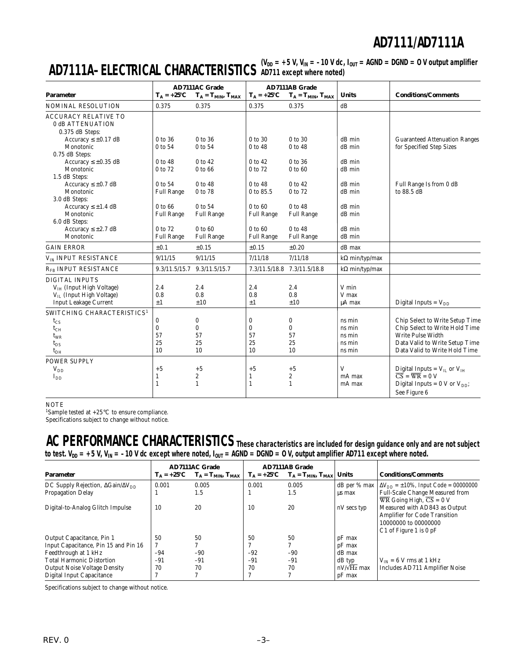$\bf AD7111A-ELECTRICAL CHARACTERISTICS$   $\rm V_{DD}$  = +5 V, V<sub>IN</sub> = -10 V dc, I<sub>OUT</sub> = AGND = DGND = 0 V output amplifier **AD711 except where noted)**

|                                        |                   | <b>AD7111AC Grade</b>       |                   | <b>AD7111AB Grade</b>       |                       |                                                       |  |  |
|----------------------------------------|-------------------|-----------------------------|-------------------|-----------------------------|-----------------------|-------------------------------------------------------|--|--|
| <b>Parameter</b>                       | $T_A = +25$ °C    | $T_A = T_{MIN}, T_{MAX}$    | $T_A = +25$ °C    | $T_A = T_{MIN}, T_{MAX}$    | <b>Units</b>          | <b>Conditions/Comments</b>                            |  |  |
| <b>NOMINAL RESOLUTION</b>              | 0.375             | 0.375                       | 0.375             | 0.375                       | dB                    |                                                       |  |  |
| <b>ACCURACY RELATIVE TO</b>            |                   |                             |                   |                             |                       |                                                       |  |  |
| 0 dB ATTENUATION                       |                   |                             |                   |                             |                       |                                                       |  |  |
| 0.375 dB Steps:                        |                   |                             |                   |                             |                       |                                                       |  |  |
| Accuracy $\leq \pm 0.17$ dB            | $0$ to $36$       | 0 to 36                     | 0 to 30           | $0$ to $30$                 | dB min                | <b>Guaranteed Attenuation Ranges</b>                  |  |  |
| Monotonic                              | 0 to 54           | 0 to 54                     | 0 to 48           | 0 to 48                     | dB min                | for Specified Step Sizes                              |  |  |
| 0.75 dB Steps:                         |                   |                             |                   |                             |                       |                                                       |  |  |
| Accuracy $\leq \pm 0.35$ dB            | 0 to 48           | 0 to 42                     | $0$ to $42$       | 0 to 36                     | dB min                |                                                       |  |  |
| Monotonic                              | 0 to 72           | 0 to 66                     | 0 to 72           | 0 to 60                     | dB min                |                                                       |  |  |
| 1.5 dB Steps:                          |                   |                             |                   |                             |                       |                                                       |  |  |
| Accuracy $\leq \pm 0.7$ dB             | $0$ to 54         | $0$ to $48$                 | $0$ to 48         | $0$ to $42$                 | dB min                | Full Range Is from 0 dB                               |  |  |
| Monotonic                              | <b>Full Range</b> | 0 to 78                     | 0 to 85.5         | 0 to 72                     | dB min                | to 88.5 dB                                            |  |  |
| 3.0 dB Steps:                          |                   |                             |                   |                             |                       |                                                       |  |  |
| Accuracy $\leq \pm 1.4$ dB             | 0 to 66           | 0 to 54                     | $0$ to $60$       | 0 to 48                     | dB min                |                                                       |  |  |
| Monotonic                              | <b>Full Range</b> | <b>Full Range</b>           | <b>Full Range</b> | <b>Full Range</b>           | dB min                |                                                       |  |  |
| 6.0 dB Steps:                          |                   |                             |                   |                             |                       |                                                       |  |  |
| Accuracy $\leq \pm 2.7$ dB             | 0 to 72           | 0 to 60                     | 0 to 60           | 0 to 48                     | dB min                |                                                       |  |  |
| Monotonic                              | <b>Full Range</b> | <b>Full Range</b>           | <b>Full Range</b> | <b>Full Range</b>           | dB min                |                                                       |  |  |
| <b>GAIN ERROR</b>                      | ±0.1              | $\pm 0.15$                  | $\pm 0.15$        | $\pm 0.20$                  | dB max                |                                                       |  |  |
| V <sub>IN</sub> INPUT RESISTANCE       | 9/11/15           | 9/11/15                     | 7/11/18           | 7/11/18                     | $k\Omega$ min/typ/max |                                                       |  |  |
| $R_{FB}$ INPUT RESISTANCE              |                   | 9.3/11.5/15.7 9.3/11.5/15.7 |                   | 7.3/11.5/18.8 7.3/11.5/18.8 | $k\Omega$ min/typ/max |                                                       |  |  |
| <b>DIGITAL INPUTS</b>                  |                   |                             |                   |                             |                       |                                                       |  |  |
| $VIH$ (Input High Voltage)             | 2.4               | 2.4                         | 2.4               | 2.4                         | V min                 |                                                       |  |  |
| $V_{II}$ (Input High Voltage)          | 0.8               | 0.8                         | 0.8               | 0.8                         | V max                 |                                                       |  |  |
| <b>Input Leakage Current</b>           | $\pm 1$           | ±10                         | $\pm 1$           | ±10                         | µA max                | Digital Inputs = $V_{DD}$                             |  |  |
| SWITCHING CHARACTERISTICS <sup>1</sup> |                   |                             |                   |                             |                       |                                                       |  |  |
| $t_{CS}$                               | $\bf{0}$          | 0                           | $\bf{0}$          | 0                           | ns min                | Chip Select to Write Setup Time                       |  |  |
| $t_{CH}$                               | $\bf{0}$          | $\bf{0}$                    | $\bf{0}$          | $\bf{0}$                    | ns min                | Chip Select to Write Hold Time                        |  |  |
| $t_{WR}$                               | 57                | 57                          | 57                | 57                          | ns min                | Write Pulse Width                                     |  |  |
| $t_{DS}$                               | 25                | 25                          | 25                | 25                          | ns min                | Data Valid to Write Setup Time                        |  |  |
| $t_{DH}$                               | 10                | 10                          | 10                | 10                          | ns min                | Data Valid to Write Hold Time                         |  |  |
| <b>POWER SUPPLY</b>                    |                   |                             |                   |                             |                       |                                                       |  |  |
| $V_{DD}$                               | $+5$              | $+5$                        | $+5$              | $+5$                        | V                     | Digital Inputs = $V_{II}$ or $V_{III}$                |  |  |
|                                        | $\mathbf{1}$      | 2                           | 1                 | $\boldsymbol{2}$            | mA max                | $\overline{\text{CS}}$ = $\overline{\text{WR}}$ = 0 V |  |  |
| $I_{DD}$                               | 1                 | $\mathbf{1}$                | 1                 | $\mathbf{1}$                | mA max                | Digital Inputs = $0 \text{ V or } V_{DD}$ ;           |  |  |
|                                        |                   |                             |                   |                             |                       | See Figure 6                                          |  |  |

#### **NOTE**

<sup>1</sup>Sample tested at  $+25^{\circ}$ C to ensure compliance.

Specifications subject to change without notice.

**AC PERFORMANCE CHARACTERISTICS These characteristics are included for design guidance only and are not subject** to test. V<sub>DD</sub> = +5 V, V<sub>IN</sub> = –10 V dc except where noted, I<sub>OUT</sub> = AGND = DGND = 0 V, output amplifier AD711 except where noted.

|                                                         |       | <b>AD7111AC Grade</b>                      |       | <b>AD7111AB Grade</b>                      |                    |                                                                |
|---------------------------------------------------------|-------|--------------------------------------------|-------|--------------------------------------------|--------------------|----------------------------------------------------------------|
| <b>Parameter</b>                                        |       | $T_A = +25$ °C $T_A = T_{MIN}$ , $T_{MAX}$ |       | $T_A = +25$ °C $T_A = T_{MIN}$ , $T_{MAX}$ | <b>Units</b>       | <b>Conditions/Comments</b>                                     |
| DC Supply Rejection, $\Delta \text{Gain}/\Delta V_{DD}$ | 0.001 | 0.005                                      | 0.001 | 0.005                                      |                    | dB per % max $\Delta V_{DD} = \pm 10$ %, Input Code = 00000000 |
| <b>Propagation Delay</b>                                |       | 1.5                                        |       | 1.5                                        | us max             | <b>Full-Scale Change Measured from</b>                         |
|                                                         |       |                                            |       |                                            |                    | WR Going High, $CS = 0$ V                                      |
| Digital-to-Analog Glitch Impulse                        | 10    | 20                                         | 10    | 20                                         | nV secs typ        | Measured with AD843 as Output                                  |
|                                                         |       |                                            |       |                                            |                    | <b>Amplifier for Code Transition</b>                           |
|                                                         |       |                                            |       |                                            |                    | 10000000 to 00000000                                           |
|                                                         |       |                                            |       |                                            |                    | C1 of Figure 1 is $0$ pF                                       |
| Output Capacitance, Pin 1                               | 50    | 50                                         | 50    | 50                                         | $pF$ max           |                                                                |
| Input Capacitance, Pin 15 and Pin 16                    |       | Η                                          |       | Η                                          | $pF$ max           |                                                                |
| Feedthrough at 1 kHz                                    | -94   | $-90$                                      | $-92$ | $-90$                                      | dB max             |                                                                |
| <b>Total Harmonic Distortion</b>                        | $-91$ | $-91$                                      | $-91$ | $-91$                                      | dB typ             | $V_{IN}$ = 6 V rms at 1 kHz                                    |
| <b>Output Noise Voltage Density</b>                     | 70    | 70                                         | 70    | 70                                         | $nV/\sqrt{Hz}$ max | Includes AD711 Amplifier Noise                                 |
| Digital Input Capacitance                               |       |                                            |       |                                            | $pF$ max           |                                                                |

Specifications subject to change without notice.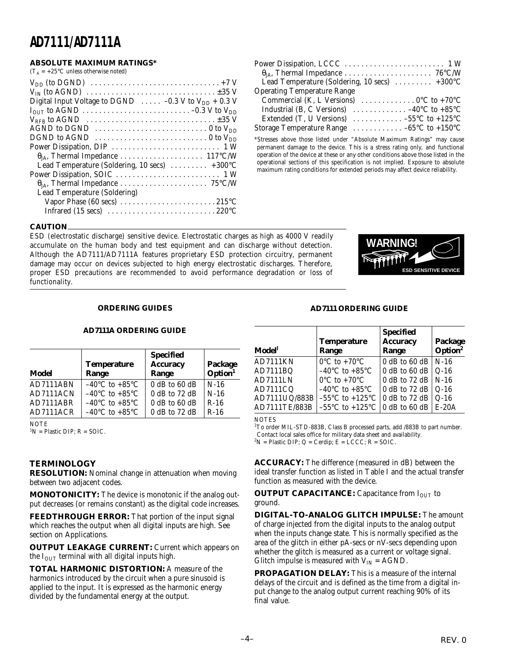#### **ABSOLUTE MAXIMUM RATINGS\***

 $(T_A = +25^{\circ}C$  unless otherwise noted)

| $V_{DD}$ (to DGND) $\ldots \ldots \ldots \ldots \ldots \ldots \ldots \ldots \ldots \ldots + 7V$ |
|-------------------------------------------------------------------------------------------------|
|                                                                                                 |
| Digital Input Voltage to DGND $\ldots$ -0.3 V to V <sub>DD</sub> + 0.3 V                        |
|                                                                                                 |
| $V_{RFB}$ to AGND $\ldots \ldots \ldots \ldots \ldots \ldots \ldots \ldots \ldots \pm 35$ V     |
| AGND to DGND $\ldots \ldots \ldots \ldots \ldots \ldots \ldots \ldots \ldots \ldots \ldots$     |
| DGND to AGND $\ldots \ldots \ldots \ldots \ldots \ldots \ldots \ldots \ldots \ldots$            |
|                                                                                                 |
|                                                                                                 |
| Lead Temperature (Soldering, 10 secs) $\ldots \ldots \ldots +300^{\circ}C$                      |
|                                                                                                 |
|                                                                                                 |
| Lead Temperature (Soldering)                                                                    |
| Vapor Phase (60 secs) $\dots \dots \dots \dots \dots \dots \dots \dots \dots 215$ °C            |
|                                                                                                 |
|                                                                                                 |

| Lead Temperature (Soldering, 10 secs) $\dots \dots \dots +300$ °C                               |
|-------------------------------------------------------------------------------------------------|
| <b>Operating Temperature Range</b>                                                              |
| Commercial (K, L Versions) $\ldots \ldots \ldots \ldots 0$ <sup>o</sup> C to +70 <sup>o</sup> C |
| Industrial (B, C Versions) $\ldots \ldots \ldots \ldots -40^{\circ}C$ to +85°C                  |
| Extended (T, U Versions) $\ldots \ldots \ldots -55^{\circ}C$ to +125°C                          |
| Storage Temperature Range $\dots \dots \dots \dots -65^{\circ}C$ to +150 °C                     |

\*Stresses above those listed under "Absolute Maximum Ratings" may cause permanent damage to the device. This is a stress rating only, and functional operation of the device at these or any other conditions above those listed in the operational sections of this specification is not implied. Exposure to absolute maximum rating conditions for extended periods may affect device reliability.

#### **CAUTION**

ESD (electrostatic discharge) sensitive device. Electrostatic charges as high as 4000 V readily accumulate on the human body and test equipment and can discharge without detection. Although the AD7111/AD7111A features proprietary ESD protection circuitry, permanent damage may occur on devices subjected to high energy electrostatic discharges. Therefore, proper ESD precautions are recommended to avoid performance degradation or loss of functionality.



#### **ORDERING GUIDES**

#### **AD7111A ORDERING GUIDE**

| Model     | <b>Temperature</b><br>Range        | <b>Specified</b><br><b>Accuracy</b><br>Range | Package<br>Option <sup>1</sup> |
|-----------|------------------------------------|----------------------------------------------|--------------------------------|
| AD7111ABN | $-40^{\circ}$ C to $+85^{\circ}$ C | $0$ dB to 60 dB                              | $N-16$                         |
| AD7111ACN | $-40^{\circ}$ C to $+85^{\circ}$ C | $0$ dB to 72 dB                              | $N-16$                         |
| AD7111ABR | $-40^{\circ}$ C to $+85^{\circ}$ C | $0$ dB to 60 dB                              | $R-16$                         |
| AD7111ACR | $-40^{\circ}$ C to $+85^{\circ}$ C | 0 dB to 72 dB                                | $R-16$                         |

**NOTE** 

 ${}^{1}N =$  Plastic DIP;  $R =$  SOIC.

#### **TERMINOLOGY**

**RESOLUTION:** Nominal change in attenuation when moving between two adjacent codes.

**MONOTONICITY:** The device is monotonic if the analog output decreases (or remains constant) as the digital code increases.

**FEEDTHROUGH ERROR:** That portion of the input signal which reaches the output when all digital inputs are high. See section on Applications.

**OUTPUT LEAKAGE CURRENT:** Current which appears on the  $I<sub>OUT</sub>$  terminal with all digital inputs high.

**TOTAL HARMONIC DISTORTION:** A measure of the harmonics introduced by the circuit when a pure sinusoid is applied to the input. It is expressed as the harmonic energy divided by the fundamental energy at the output.

#### **AD7111 ORDERING GUIDE**

| Model           | <b>Temperature</b><br>Range                         | <b>Specified</b><br><b>Accuracy</b><br>Range | Package<br>Option <sup>2</sup> |
|-----------------|-----------------------------------------------------|----------------------------------------------|--------------------------------|
| <b>AD7111KN</b> | $0^{\circ}$ C to +70 $^{\circ}$ C                   | 0 dB to 60 dB   $N-16$                       |                                |
| AD7111BQ        | -40°C to +85°C                                      | $\vert$ 0 dB to 60 dB                        | $Q-16$                         |
| AD7111LN        | $0^{\circ}$ C to +70 $^{\circ}$ C                   | 0 dB to 72 dB                                | $N-16$                         |
| AD7111CQ        | $-40^{\circ}$ C to $+85^{\circ}$ C                  | $\vert$ 0 dB to 72 dB                        | $Q-16$                         |
| AD7111UQ/883B   | $-55^{\circ}$ C to $+125^{\circ}$ C                 | $\vert$ 0 dB to 72 dB                        | $Q-16$                         |
| AD7111TE/883B   | $-55^{\circ}$ C to $+125^{\circ}$ C   0 dB to 60 dB |                                              | $E-20A$                        |

**NOTES** 

<sup>1</sup>To order MIL-STD-883B, Class B processed parts, add /883B to part number. Contact local sales office for military data sheet and availability.  ${}^{2}N$  = Plastic DIP; Q = Cerdip; E = LCCC; R = SOIC.

**ACCURACY:** The difference (measured in dB) between the ideal transfer function as listed in Table I and the actual transfer function as measured with the device.

**OUTPUT CAPACITANCE:** Capacitance from I<sub>OUT</sub> to ground.

**DIGITAL-TO-ANALOG GLITCH IMPULSE:** The amount of charge injected from the digital inputs to the analog output when the inputs change state. This is normally specified as the area of the glitch in either pA-secs or nV-secs depending upon whether the glitch is measured as a current or voltage signal. Glitch impulse is measured with  $V_{IN} = AGND$ .

**PROPAGATION DELAY:** This is a measure of the internal delays of the circuit and is defined as the time from a digital input change to the analog output current reaching 90% of its final value.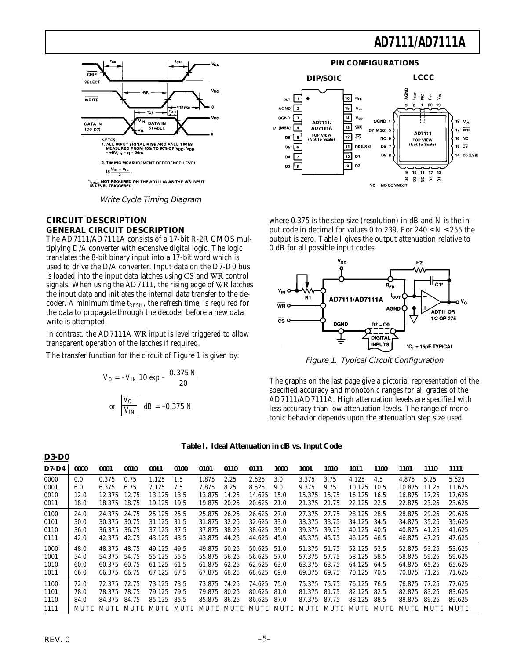

Write Cycle Timing Diagram

#### **CIRCUIT DESCRIPTION GENERAL CIRCUIT DESCRIPTION**

The AD7111/AD7111A consists of a 17-bit R-2R CMOS multiplying D/A converter with extensive digital logic. The logic translates the 8-bit binary input into a 17-bit word which is used to drive the D/A converter. Input data on the D7-D0 bus is loaded into the input data latches using  $\overline{\text{CS}}$  and  $\overline{\text{WR}}$  control signals. When using the AD7111, the rising edge of  $\overline{WR}$  latches the input data and initiates the internal data transfer to the decoder. A minimum time  $t_{RFSH}$ , the refresh time, is required for the data to propagate through the decoder before a new data write is attempted.

In contrast, the AD7111A  $\overline{WR}$  input is level triggered to allow transparent operation of the latches if required.

The transfer function for the circuit of Figure 1 is given by:

$$
V_O = -V_{IN} 10 \exp{-\frac{0.375 N}{20}}
$$
  
or  $\left| \frac{V_O}{V_{IN}} \right|$  dB = -0.375 N



where  $0.375$  is the step size (resolution) in dB and N is the input code in decimal for values 0 to 239. For  $240 \le N \le 255$  the output is zero. Table I gives the output attenuation relative to 0 dB for all possible input codes.



Figure 1. Typical Circuit Configuration

The graphs on the last page give a pictorial representation of the specified accuracy and monotonic ranges for all grades of the AD7111/AD7111A. High attenuation levels are specified with less accuracy than low attenuation levels. The range of monotonic behavior depends upon the attenuation step size used.

|  |  | Table I. Ideal Attenuation in dB vs. Input Code |  |  |  |
|--|--|-------------------------------------------------|--|--|--|
|--|--|-------------------------------------------------|--|--|--|

| $D7-D4$ | 0000        | 0001   | 0010  | 0011   | 0100                | 0101   | 0110  | 0111   | 1000                | 1001   | 1010      | 1011   | <b>1100</b> | 1101   | <b>1110</b>    | 1111   |
|---------|-------------|--------|-------|--------|---------------------|--------|-------|--------|---------------------|--------|-----------|--------|-------------|--------|----------------|--------|
| 0000    | 0.0         | 0.375  | 0.75  | 1.125  | 1.5                 | 1.875  | 2.25  | 2.625  | 3.0                 | 3.375  | 3.75      | 4.125  | 4.5         | 4.875  | 5.25           | 5.625  |
| 0001    | 6.0         | 6.375  | 6.75  | 7.125  | 7.5                 | 7.875  | 8.25  | 8.625  | 9.0                 | 9.375  | 9.75      | 10.125 | 10.5        | 10.875 | 11.25          | 11.625 |
| 0010    | 12.0        | 12.375 | 12.75 | 13.125 | 13.5                | 13.875 | 14.25 | 14.625 | 15.0                | 15.375 | 15.75     | 16.125 | 16.5        | 16.875 | 17.25          | 17.625 |
| 0011    | 18.0        | 18.375 | 18.75 | 19.125 | 19.5                | 19.875 | 20.25 | 20.625 | 21.0                | 21.375 | 21.75     | 22.125 | 22.5        | 22.875 | 23.25          | 23.625 |
| 0100    | 24.0        | 24.375 | 24.75 | 25.125 | 25.5                | 25.875 | 26.25 | 26.625 | 27.0                | 27.375 | 27.75     | 28.125 | 28.5        | 28.875 | 29.25          | 29.625 |
| 0101    | 30.0        | 30.375 | 30.75 | 31.125 | 31.5                | 31.875 | 32.25 | 32.625 | 33.0                | 33.375 | 33.75     | 34.125 | 34.5        | 34.875 | 35.25          | 35.625 |
| 0110    | 36.0        | 36.375 | 36.75 | 37.125 | 37.5                | 37.875 | 38.25 | 38.625 | 39.0                | 39.375 | 39.75     | 40.125 | 40.5        | 40.875 | 41.25          | 41.625 |
| 0111    | 42.0        | 42.375 | 42.75 | 43.125 | 43.5                | 43.875 | 44.25 | 44.625 | 45.0                | 45.375 | 45.75     | 46.125 | 46.5        | 46.875 | 47.25          | 47.625 |
| 1000    | 48.0        | 48.375 | 48.75 | 49.125 | 49.5                | 49.875 | 50.25 | 50.625 | 51.0                | 51.375 | 51.75     | 52.125 | 52.5        | 52.875 | 53.25          | 53.625 |
| 1001    | 54.0        | 54.375 | 54.75 | 55.125 | 55.5                | 55.875 | 56.25 | 56.625 | 57.0                | 57.375 | 57.75     | 58.125 | 58.5        | 58.875 | 59.25          | 59.625 |
| 1010    | 60.0        | 60.375 | 60.75 | 61.125 | 61.5                | 61.875 | 62.25 | 62.625 | 63.0                | 63.375 | 63.75     | 64.125 | 64.5        | 64.875 | 65.25          | 65.625 |
| 1011    | 66.0        | 66.375 | 66.75 | 67.125 | 67.5                | 67.875 | 68.25 | 68.625 | 69.0                | 69.375 | 69.75     | 70.125 | 70.5        | 70.875 | 71.25          | 71.625 |
| 1100    | 72.0        | 72.375 | 72.75 | 73.125 | 73.5                | 73.875 | 74.25 | 74.625 | 75.0                | 75.375 | 75.75     | 76.125 | 76.5        | 76.875 | 77.25          | 77.625 |
| 1101    | 78.0        | 78.375 | 78.75 | 79.125 | 79.5                | 79.875 | 80.25 | 80.625 | 81.0                | 81.375 | 81.75     | 82.125 | 82.5        | 82.875 | 83.25          | 83.625 |
| 1110    | 84.0        | 84.375 | 84.75 | 85.125 | 85.5                | 85.875 | 86.25 | 86.625 | 87.0                | 87.375 | 87.75     | 88.125 | 88.5        | 88.875 | 89.25          | 89.625 |
| 1111    | <b>MUTE</b> |        |       |        | MUTE MUTE MUTE MUTE |        |       |        | MUTE MUTE MUTE MUTE |        | MUTE MUTE |        | MUTE MUTE   |        | MUTE MUTE MUTE |        |

**D3-D0**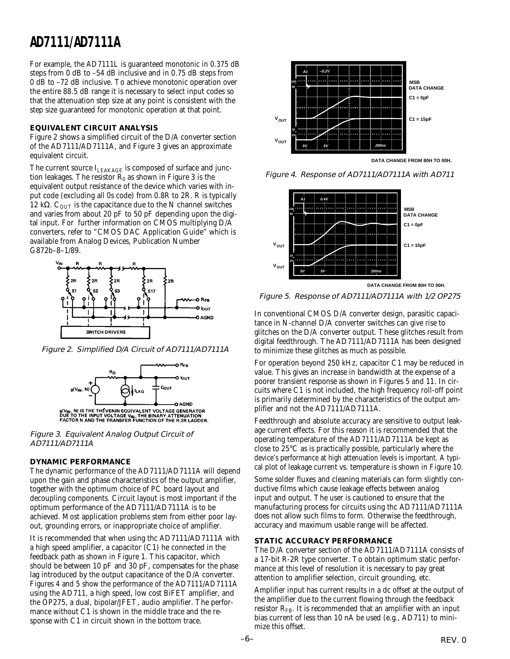For example, the AD7111L is guaranteed monotonic in 0.375 dB steps from 0 dB to –54 dB inclusive and in 0.75 dB steps from 0 dB to –72 dB inclusive. To achieve monotonic operation over the entire 88.5 dB range it is necessary to select input codes so that the attenuation step size at any point is consistent with the step size guaranteed for monotonic operation at that point.

#### **EQUIVALENT CIRCUIT ANALYSIS**

Figure 2 shows a simplified circuit of the D/A converter section of the AD7111/AD7111A, and Figure 3 gives an approximate equivalent circuit.

The current source ILEAKAGE is composed of surface and junction leakages. The resistor  $R_0$  as shown in Figure 3 is the equivalent output resistance of the device which varies with input code (excluding all 0s code) from 0.8R to 2R. R is typically 12 kΩ.  $C<sub>OUT</sub>$  is the capacitance due to the N channel switches and varies from about 20 pF to 50 pF depending upon the digital input. For further information on CMOS multiplying D/A converters, refer to "CMOS DAC Application Guide" which is available from Analog Devices, Publication Number G872b–8–1/89.



Figure 2. Simplified D/A Circuit of AD7111/AD7111A



Figure 3. Equivalent Analog Output Circuit of AD7111/AD7111A

#### **DYNAMIC PERFORMANCE**

The dynamic performance of the AD7111/AD7111A will depend upon the gain and phase characteristics of the output amplifier, together with the optimum choice of PC board layout and decoupling components. Circuit layout is most important if the optimum performance of the AD7111/AD7111A is to be achieved. Most application problems stem from either poor layout, grounding errors, or inappropriate choice of amplifier.

It is recommended that when using thc AD7111/AD7111A with a high speed amplifier, a capacitor (C1) he connected in the feedback path as shown in Figure 1. This capacitor, which should be between 10 pF and 30 pF, compensates for the phase lag introduced by the output capacitance of the D/A converter. Figures 4 and 5 show the performance of the AD7111/AD7111A using the AD711, a high speed, low cost BiFET amplifier, and the OP275, a dual, bipolar/JFET, audio amplifier. The performance without C1 is shown in the middle trace and the response with C1 in circuit shown in the bottom trace.



Figure 4. Response of AD7111/AD7111A with AD711



Figure 5. Response of AD7111/AD7111A with 1/2 OP275

In conventional CMOS D/A converter design, parasitic capacitance in N-channel D/A converter switches can give rise to glitches on the D/A converter output. These glitches result from digital feedthrough. The AD7111/AD7111A has been designed to minimize these glitches as much as possible.

For operation beyond 250 kHz, capacitor C1 may be reduced in value. This gives an increase in bandwidth at the expense of a poorer transient response as shown in Figures 5 and 11. In circuits where C1 is not included, the high frequency roll-off point is primarily determined by the characteristics of the output amplifier and not the AD7111/AD7111A.

Feedthrough and absolute accuracy are sensitive to output leakage current effects. For this reason it is recommended that the operating temperature of the AD7111/AD7111A be kept as close to 25°C as is practically possible, particularly where the device's performance at high attenuation levels is important. A typical plot of leakage current vs. temperature is shown in Figure 10.

Some solder fluxes and cleaning materials can form slightly conductive films which cause leakage effects between analog input and output. The user is cautioned to ensure that the manufacturing process for circuits using thc AD7111/AD7111A does not allow such films to form. Otherwise the feedthrough, accuracy and maximum usable range will be affected.

#### **STATIC ACCURACY PERFORMANCE**

The D/A converter section of the AD7111/AD7111A consists of a 17-bit R-2R type converter. To obtain optimum static performance at this level of resolution it is necessary to pay great attention to amplifier selection, circuit grounding, etc.

Amplifier input has current results in a dc offset at the output of the amplifier due to the current flowing through the feedback resistor  $R_{FB}$ . It is recommended that an amplifier with an input bias current of less than 10 nA be used (e.g., AD711) to minimize this offset.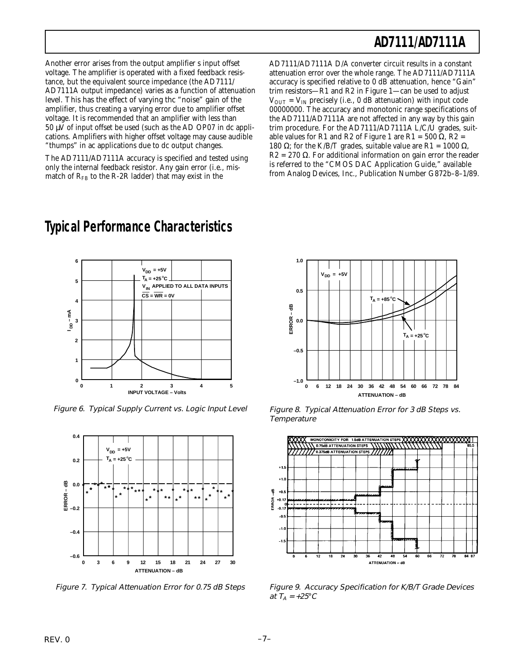Another error arises from the output amplifier s input offset voltage. The amplifier is operated with a fixed feedback resistance, but the equivalent source impedance (the AD7111/ AD7111A output impedance) varies as a function of attenuation level. This has the effect of varying thc "noise" gain of the amplifier, thus creating a varying error due to amplifier offset voltage. It is recommended that an amplifier with less than  $50 \mu \overline{V}$  of input offset be used (such as the AD OP07 in dc applications. Amplifiers with higher offset voltage may cause audible "thumps" in ac applications due to dc output changes.

The AD7111/AD7111A accuracy is specified and tested using only the internal feedback resistor. Any gain error (i.e., mismatch of  $R_{FB}$  to the R-2R ladder) that may exist in the

**Typical Performance Characteristics**

AD7111/AD7111A D/A converter circuit results in a constant attenuation error over the whole range. The AD7111/AD7111A accuracy is specified relative to 0 dB attenuation, hence "Gain" trim resistors—R1 and R2 in Figure 1—can be used to adjust  $V_{\text{OUT}} = V_{\text{IN}}$  precisely (i.e., 0 dB attenuation) with input code 00000000. The accuracy and monotonic range specifications of the AD7111/AD7111A are not affected in any way by this gain trim procedure. For the AD7111/AD7111A L/C/U grades, suitable values for R1 and R2 of Figure 1 are R1 = 500  $\Omega$ , R2 = 180 Ω; for the K/B/T grades, suitable value are R1 = 1000 Ω, R2 = 270  $\Omega$ . For additional information on gain error the reader is referred to the "CMOS DAC Application Guide," available from Analog Devices, Inc., Publication Number G872b–8–1/89.



Figure 6. Typical Supply Current vs. Logic Input Level



Figure 7. Typical Attenuation Error for 0.75 dB Steps



Figure 8. Typical Attenuation Error for 3 dB Steps vs. **Temperature** 



Figure 9. Accuracy Specification for K/B/T Grade Devices at  $T_A = +25$ °C

# **6**